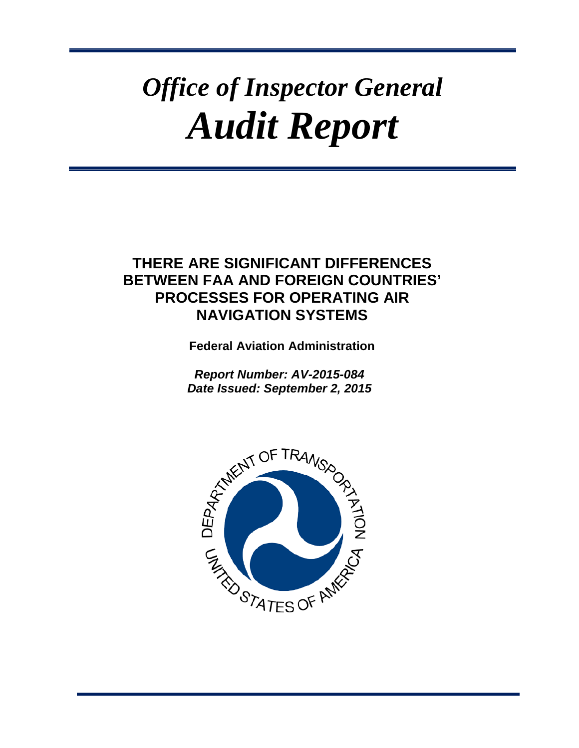# *Office of Inspector General Audit Report*

# **THERE ARE SIGNIFICANT DIFFERENCES BETWEEN FAA AND FOREIGN COUNTRIES' PROCESSES FOR OPERATING AIR NAVIGATION SYSTEMS**

**Federal Aviation Administration**

*Report Number: AV-2015-084 Date Issued: September 2, 2015*

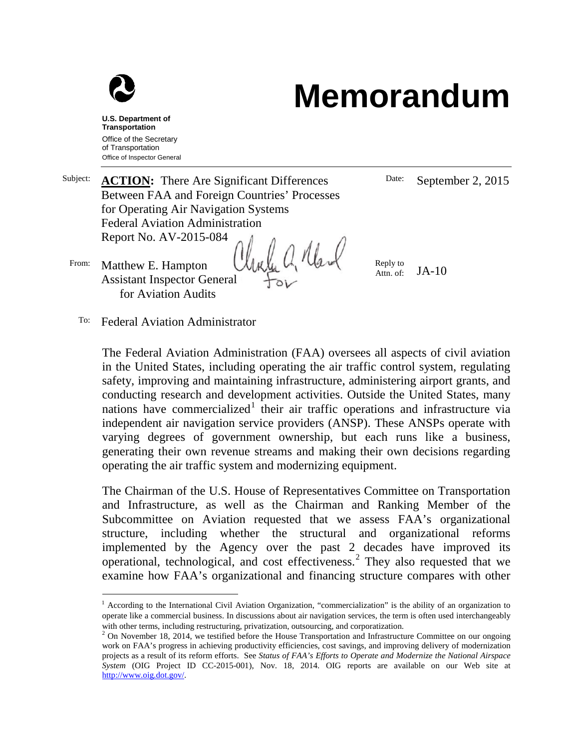

# **Memorandum**

**U.S. Department of Transportation** Office of the Secretary of Transportation Office of Inspector General

| Subject: | <b>ACTION:</b> There Are Significant Differences         | Date:                 | September 2, 2015 |
|----------|----------------------------------------------------------|-----------------------|-------------------|
|          | Between FAA and Foreign Countries' Processes             |                       |                   |
|          | for Operating Air Navigation Systems                     |                       |                   |
|          | <b>Federal Aviation Administration</b>                   |                       |                   |
|          | Report No. AV-2015-084                                   |                       |                   |
| From:    | Matthew E. Hampton<br><b>Assistant Inspector General</b> | Reply to<br>Attn. of: | $JA-10$           |
|          | for Aviation Audits                                      |                       |                   |

To: Federal Aviation Administrator

The Federal Aviation Administration (FAA) oversees all aspects of civil aviation in the United States, including operating the air traffic control system, regulating safety, improving and maintaining infrastructure, administering airport grants, and conducting research and development activities. Outside the United States, many nations have commercialized<sup>[1](#page-1-0)</sup> their air traffic operations and infrastructure via independent air navigation service providers (ANSP). These ANSPs operate with varying degrees of government ownership, but each runs like a business, generating their own revenue streams and making their own decisions regarding operating the air traffic system and modernizing equipment.

The Chairman of the U.S. House of Representatives Committee on Transportation and Infrastructure, as well as the Chairman and Ranking Member of the Subcommittee on Aviation requested that we assess FAA's organizational structure, including whether the structural and organizational reforms implemented by the Agency over the past 2 decades have improved its operational, technological, and cost effectiveness. [2](#page-1-1) They also requested that we examine how FAA's organizational and financing structure compares with other

<span id="page-1-0"></span> $<sup>1</sup>$  According to the International Civil Aviation Organization, "commercialization" is the ability of an organization to</sup> operate like a commercial business. In discussions about air navigation services, the term is often used interchangeably with other terms, including restructuring, privatization, outsourcing, and corporatization.

<span id="page-1-1"></span> $2$  On November 18, 2014, we testified before the House Transportation and Infrastructure Committee on our ongoing work on FAA's progress in achieving productivity efficiencies, cost savings, and improving delivery of modernization projects as a result of its reform efforts. See *Status of FAA's Efforts to Operate and Modernize the National Airspace System* (OIG Project ID CC-2015-001), Nov. 18, 2014. OIG reports are available on our Web site at [http://www.oig.dot.gov/.](http://www.oig.dot.gov/)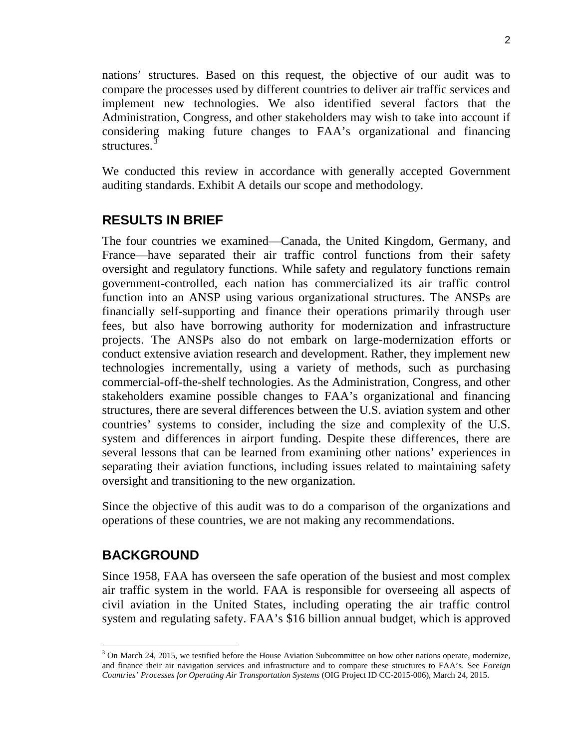nations' structures. Based on this request, the objective of our audit was to compare the processes used by different countries to deliver air traffic services and implement new technologies. We also identified several factors that the Administration, Congress, and other stakeholders may wish to take into account if considering making future changes to FAA's organizational and financing structures.<sup>[3](#page-2-0)</sup>

We conducted this review in accordance with generally accepted Government auditing standards. Exhibit A details our scope and methodology.

# **RESULTS IN BRIEF**

The four countries we examined—Canada, the United Kingdom, Germany, and France—have separated their air traffic control functions from their safety oversight and regulatory functions. While safety and regulatory functions remain government-controlled, each nation has commercialized its air traffic control function into an ANSP using various organizational structures. The ANSPs are financially self-supporting and finance their operations primarily through user fees, but also have borrowing authority for modernization and infrastructure projects. The ANSPs also do not embark on large-modernization efforts or conduct extensive aviation research and development. Rather, they implement new technologies incrementally, using a variety of methods, such as purchasing commercial-off-the-shelf technologies. As the Administration, Congress, and other stakeholders examine possible changes to FAA's organizational and financing structures, there are several differences between the U.S. aviation system and other countries' systems to consider, including the size and complexity of the U.S. system and differences in airport funding. Despite these differences, there are several lessons that can be learned from examining other nations' experiences in separating their aviation functions, including issues related to maintaining safety oversight and transitioning to the new organization.

Since the objective of this audit was to do a comparison of the organizations and operations of these countries, we are not making any recommendations.

### **BACKGROUND**

Since 1958, FAA has overseen the safe operation of the busiest and most complex air traffic system in the world. FAA is responsible for overseeing all aspects of civil aviation in the United States, including operating the air traffic control system and regulating safety. FAA's \$16 billion annual budget, which is approved

<span id="page-2-0"></span> $3$  On March 24, 2015, we testified before the House Aviation Subcommittee on how other nations operate, modernize, and finance their air navigation services and infrastructure and to compare these structures to FAA's. See *Foreign Countries' Processes for Operating Air Transportation Systems* (OIG Project ID CC-2015-006), March 24, 2015.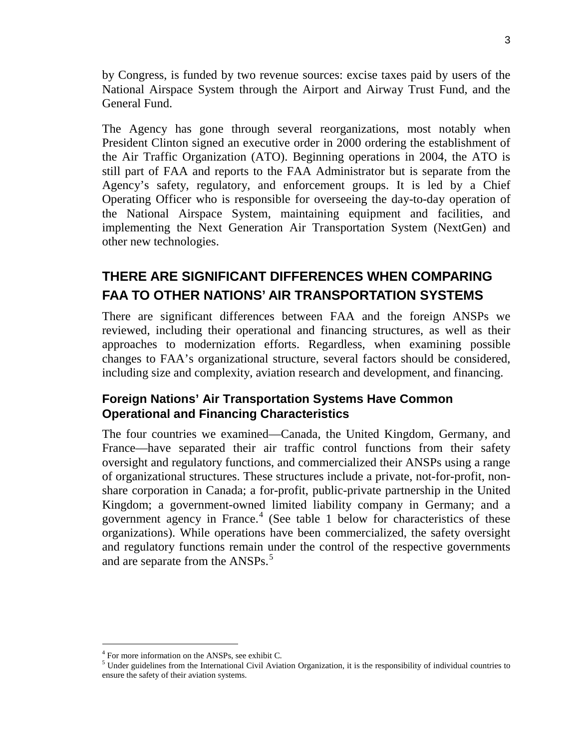by Congress, is funded by two revenue sources: excise taxes paid by users of the National Airspace System through the Airport and Airway Trust Fund, and the General Fund.

The Agency has gone through several reorganizations, most notably when President Clinton signed an executive order in 2000 ordering the establishment of the Air Traffic Organization (ATO). Beginning operations in 2004, the ATO is still part of FAA and reports to the FAA Administrator but is separate from the Agency's safety, regulatory, and enforcement groups. It is led by a Chief Operating Officer who is responsible for overseeing the day-to-day operation of the National Airspace System, maintaining equipment and facilities, and implementing the Next Generation Air Transportation System (NextGen) and other new technologies.

# **THERE ARE SIGNIFICANT DIFFERENCES WHEN COMPARING FAA TO OTHER NATIONS' AIR TRANSPORTATION SYSTEMS**

There are significant differences between FAA and the foreign ANSPs we reviewed, including their operational and financing structures, as well as their approaches to modernization efforts. Regardless, when examining possible changes to FAA's organizational structure, several factors should be considered, including size and complexity, aviation research and development, and financing.

# **Foreign Nations' Air Transportation Systems Have Common Operational and Financing Characteristics**

The four countries we examined—Canada, the United Kingdom, Germany, and France—have separated their air traffic control functions from their safety oversight and regulatory functions, and commercialized their ANSPs using a range of organizational structures. These structures include a private, not-for-profit, nonshare corporation in Canada; a for-profit, public-private partnership in the United Kingdom; a government-owned limited liability company in Germany; and a government agency in France. $4$  (See table 1 below for characteristics of these organizations). While operations have been commercialized, the safety oversight and regulatory functions remain under the control of the respective governments and are separate from the ANSPs.<sup>[5](#page-3-1)</sup>

 <sup>4</sup> For more information on the ANSPs, see exhibit C.

<span id="page-3-1"></span><span id="page-3-0"></span><sup>&</sup>lt;sup>5</sup> Under guidelines from the International Civil Aviation Organization, it is the responsibility of individual countries to ensure the safety of their aviation systems.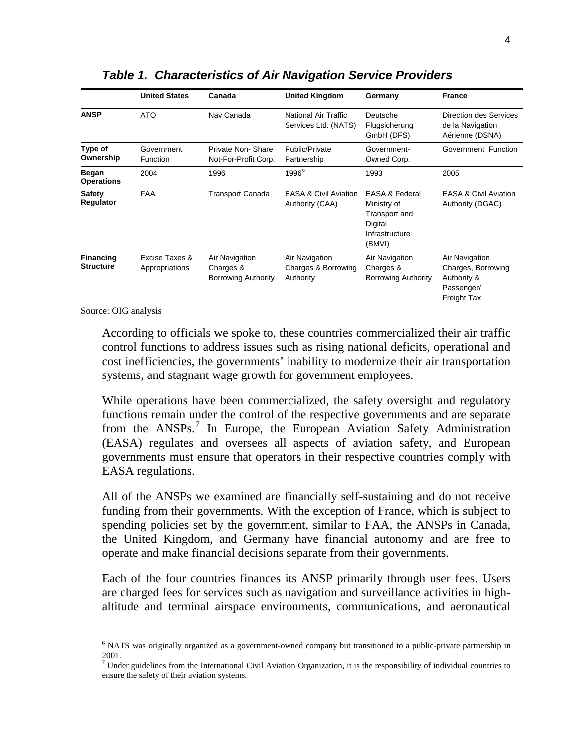|                                   | <b>United States</b>             | Canada                                                    | <b>United Kingdom</b>                               | Germany                                                                                          | <b>France</b>                                                                    |
|-----------------------------------|----------------------------------|-----------------------------------------------------------|-----------------------------------------------------|--------------------------------------------------------------------------------------------------|----------------------------------------------------------------------------------|
| <b>ANSP</b>                       | <b>ATO</b>                       | Nav Canada                                                | National Air Traffic<br>Services Ltd. (NATS)        | Deutsche<br>Flugsicherung<br>GmbH (DFS)                                                          | Direction des Services<br>de la Navigation<br>Aérienne (DSNA)                    |
| Type of<br>Ownership              | Government<br>Function           | Private Non-Share<br>Not-For-Profit Corp.                 | <b>Public/Private</b><br>Partnership                | Government-<br>Owned Corp.                                                                       | Government Function                                                              |
| <b>Began</b><br><b>Operations</b> | 2004                             | 1996                                                      | 1996 <sup>6</sup>                                   | 1993                                                                                             | 2005                                                                             |
| Safety<br>Regulator               | <b>FAA</b>                       | <b>Transport Canada</b>                                   | <b>EASA &amp; Civil Aviation</b><br>Authority (CAA) | <b>EASA &amp; Federal</b><br>Ministry of<br>Transport and<br>Digital<br>Infrastructure<br>(BMVI) | <b>EASA &amp; Civil Aviation</b><br>Authority (DGAC)                             |
| Financing<br>Structure            | Excise Taxes &<br>Appropriations | Air Navigation<br>Charges &<br><b>Borrowing Authority</b> | Air Navigation<br>Charges & Borrowing<br>Authority  | Air Navigation<br>Charges &<br><b>Borrowing Authority</b>                                        | Air Navigation<br>Charges, Borrowing<br>Authority &<br>Passenger/<br>Freight Tax |

#### *Table 1. Characteristics of Air Navigation Service Providers*

Source: OIG analysis

According to officials we spoke to, these countries commercialized their air traffic control functions to address issues such as rising national deficits, operational and cost inefficiencies, the governments' inability to modernize their air transportation systems, and stagnant wage growth for government employees.

While operations have been commercialized, the safety oversight and regulatory functions remain under the control of the respective governments and are separate from the ANSPs.<sup>[7](#page-4-1)</sup> In Europe, the European Aviation Safety Administration (EASA) regulates and oversees all aspects of aviation safety, and European governments must ensure that operators in their respective countries comply with EASA regulations.

All of the ANSPs we examined are financially self-sustaining and do not receive funding from their governments. With the exception of France, which is subject to spending policies set by the government, similar to FAA, the ANSPs in Canada, the United Kingdom, and Germany have financial autonomy and are free to operate and make financial decisions separate from their governments.

Each of the four countries finances its ANSP primarily through user fees. Users are charged fees for services such as navigation and surveillance activities in highaltitude and terminal airspace environments, communications, and aeronautical

<span id="page-4-0"></span> <sup>6</sup> NATS was originally organized as a government-owned company but transitioned to a public-private partnership in 2001.

<span id="page-4-1"></span> $<sup>7</sup>$  Under guidelines from the International Civil Aviation Organization, it is the responsibility of individual countries to</sup> ensure the safety of their aviation systems.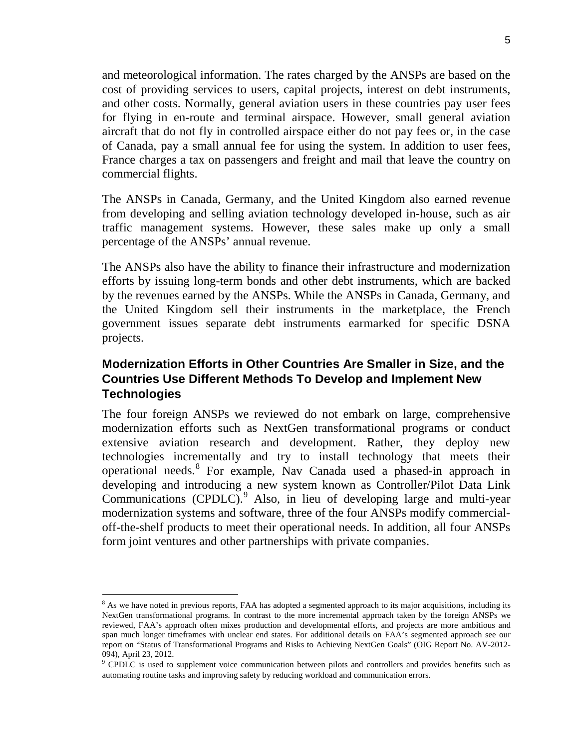and meteorological information. The rates charged by the ANSPs are based on the cost of providing services to users, capital projects, interest on debt instruments, and other costs. Normally, general aviation users in these countries pay user fees for flying in en-route and terminal airspace. However, small general aviation aircraft that do not fly in controlled airspace either do not pay fees or, in the case of Canada, pay a small annual fee for using the system. In addition to user fees, France charges a tax on passengers and freight and mail that leave the country on commercial flights.

The ANSPs in Canada, Germany, and the United Kingdom also earned revenue from developing and selling aviation technology developed in-house, such as air traffic management systems. However, these sales make up only a small percentage of the ANSPs' annual revenue.

The ANSPs also have the ability to finance their infrastructure and modernization efforts by issuing long-term bonds and other debt instruments, which are backed by the revenues earned by the ANSPs. While the ANSPs in Canada, Germany, and the United Kingdom sell their instruments in the marketplace, the French government issues separate debt instruments earmarked for specific DSNA projects.

#### **Modernization Efforts in Other Countries Are Smaller in Size, and the Countries Use Different Methods To Develop and Implement New Technologies**

The four foreign ANSPs we reviewed do not embark on large, comprehensive modernization efforts such as NextGen transformational programs or conduct extensive aviation research and development. Rather, they deploy new technologies incrementally and try to install technology that meets their operational needs.[8](#page-5-0) For example, Nav Canada used a phased-in approach in developing and introducing a new system known as Controller/Pilot Data Link Communications (CPDLC).<sup>[9](#page-5-1)</sup> Also, in lieu of developing large and multi-year modernization systems and software, three of the four ANSPs modify commercialoff-the-shelf products to meet their operational needs. In addition, all four ANSPs form joint ventures and other partnerships with private companies.

<span id="page-5-0"></span><sup>&</sup>lt;sup>8</sup> As we have noted in previous reports, FAA has adopted a segmented approach to its major acquisitions, including its NextGen transformational programs. In contrast to the more incremental approach taken by the foreign ANSPs we reviewed, FAA's approach often mixes production and developmental efforts, and projects are more ambitious and span much longer timeframes with unclear end states. For additional details on FAA's segmented approach see our report on "Status of Transformational Programs and Risks to Achieving NextGen Goals" (OIG Report No. AV-2012- 094), April 23, 2012.

<span id="page-5-1"></span><sup>&</sup>lt;sup>9</sup> CPDLC is used to supplement voice communication between pilots and controllers and provides benefits such as automating routine tasks and improving safety by reducing workload and communication errors.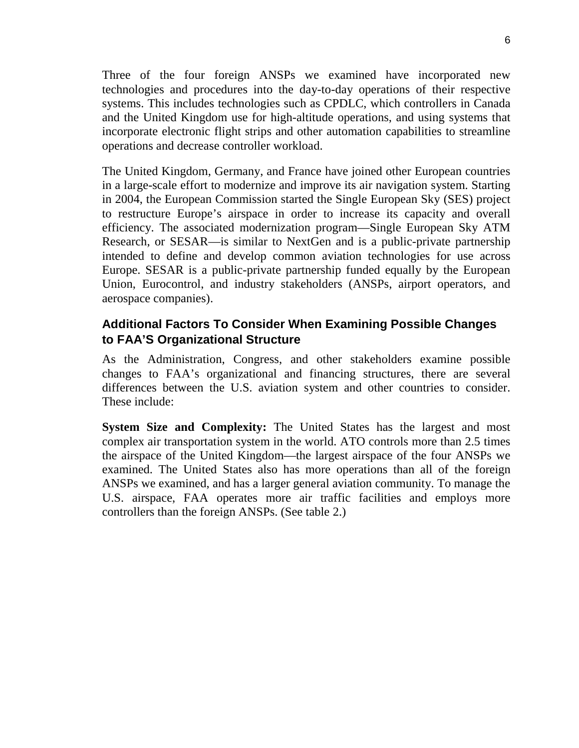Three of the four foreign ANSPs we examined have incorporated new technologies and procedures into the day-to-day operations of their respective systems. This includes technologies such as CPDLC, which controllers in Canada and the United Kingdom use for high-altitude operations, and using systems that incorporate electronic flight strips and other automation capabilities to streamline operations and decrease controller workload.

The United Kingdom, Germany, and France have joined other European countries in a large-scale effort to modernize and improve its air navigation system. Starting in 2004, the European Commission started the Single European Sky (SES) project to restructure Europe's airspace in order to increase its capacity and overall efficiency. The associated modernization program—Single European Sky ATM Research, or SESAR—is similar to NextGen and is a public-private partnership intended to define and develop common aviation technologies for use across Europe. SESAR is a public-private partnership funded equally by the European Union, Eurocontrol, and industry stakeholders (ANSPs, airport operators, and aerospace companies).

#### **Additional Factors To Consider When Examining Possible Changes to FAA'S Organizational Structure**

As the Administration, Congress, and other stakeholders examine possible changes to FAA's organizational and financing structures, there are several differences between the U.S. aviation system and other countries to consider. These include:

**System Size and Complexity:** The United States has the largest and most complex air transportation system in the world. ATO controls more than 2.5 times the airspace of the United Kingdom—the largest airspace of the four ANSPs we examined. The United States also has more operations than all of the foreign ANSPs we examined, and has a larger general aviation community. To manage the U.S. airspace, FAA operates more air traffic facilities and employs more controllers than the foreign ANSPs. (See table 2.)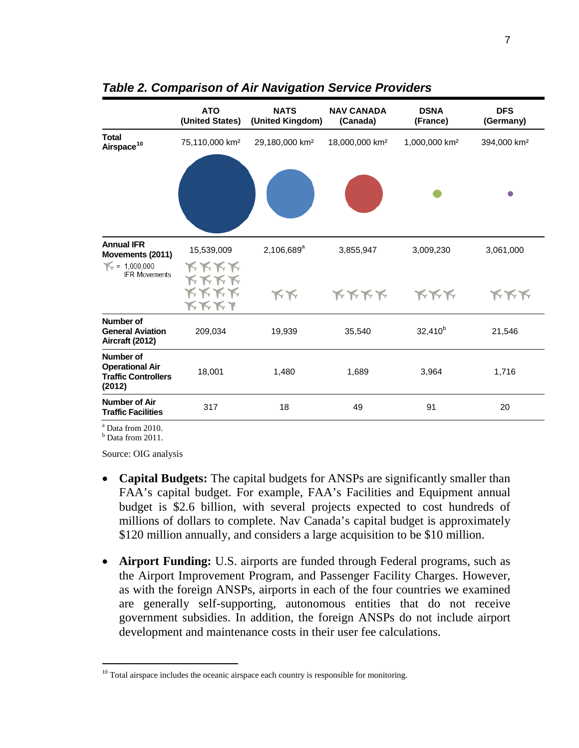|                                                                             | <b>ATO</b><br>(United States)                            | <b>NATS</b><br>(United Kingdom) | <b>NAV CANADA</b><br>(Canada) | <b>DSNA</b><br>(France)   | <b>DFS</b><br>(Germany) |
|-----------------------------------------------------------------------------|----------------------------------------------------------|---------------------------------|-------------------------------|---------------------------|-------------------------|
| <b>Total</b><br>Airspace <sup>10</sup>                                      | 75,110,000 km <sup>2</sup>                               | 29,180,000 km <sup>2</sup>      | 18,000,000 km <sup>2</sup>    | 1,000,000 km <sup>2</sup> | 394,000 km <sup>2</sup> |
|                                                                             |                                                          |                                 |                               |                           |                         |
| <b>Annual IFR</b><br>Movements (2011)                                       | 15,539,009                                               | $2,106,689^a$                   | 3,855,947                     | 3,009,230                 | 3,061,000               |
| $\mathcal{N} = 1,000,000$<br><b>IFR Movements</b>                           | <b>KKKK</b><br><b>KKKK</b><br><b>KKKK</b><br><b>KKK1</b> | KK                              | <b>KKKK</b>                   | <b>KKK</b>                | <b>KKK</b>              |
| Number of<br><b>General Aviation</b><br>Aircraft (2012)                     | 209,034                                                  | 19,939                          | 35,540                        | $32,410^{b}$              | 21,546                  |
| Number of<br><b>Operational Air</b><br><b>Traffic Controllers</b><br>(2012) | 18,001                                                   | 1,480                           | 1,689                         | 3,964                     | 1,716                   |
| Number of Air<br><b>Traffic Facilities</b>                                  | 317                                                      | 18                              | 49                            | 91                        | 20                      |

*Table 2. Comparison of Air Navigation Service Providers* 

<sup>a</sup> Data from 2010.

 $<sup>b</sup>$  Data from 2011.</sup>

Source: OIG analysis

- **Capital Budgets:** The capital budgets for ANSPs are significantly smaller than FAA's capital budget. For example, FAA's Facilities and Equipment annual budget is \$2.6 billion, with several projects expected to cost hundreds of millions of dollars to complete. Nav Canada's capital budget is approximately \$120 million annually, and considers a large acquisition to be \$10 million.
- **Airport Funding:** U.S. airports are funded through Federal programs, such as the Airport Improvement Program, and Passenger Facility Charges. However, as with the foreign ANSPs, airports in each of the four countries we examined are generally self-supporting, autonomous entities that do not receive government subsidies. In addition, the foreign ANSPs do not include airport development and maintenance costs in their user fee calculations.

<span id="page-7-0"></span> $10$  Total airspace includes the oceanic airspace each country is responsible for monitoring.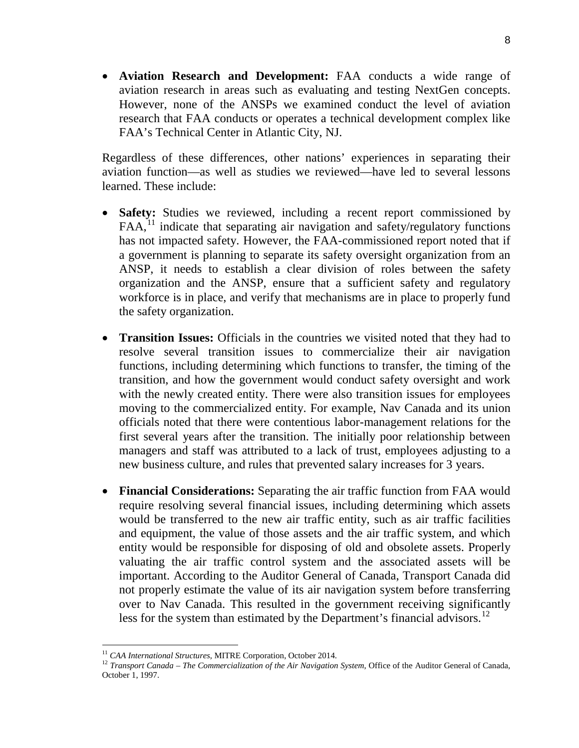• **Aviation Research and Development:** FAA conducts a wide range of aviation research in areas such as evaluating and testing NextGen concepts. However, none of the ANSPs we examined conduct the level of aviation research that FAA conducts or operates a technical development complex like FAA's Technical Center in Atlantic City, NJ.

Regardless of these differences, other nations' experiences in separating their aviation function—as well as studies we reviewed—have led to several lessons learned. These include:

- **Safety:** Studies we reviewed, including a recent report commissioned by  $FAA<sub>11</sub><sup>11</sup>$  $FAA<sub>11</sub><sup>11</sup>$  $FAA<sub>11</sub><sup>11</sup>$  indicate that separating air navigation and safety/regulatory functions has not impacted safety. However, the FAA-commissioned report noted that if a government is planning to separate its safety oversight organization from an ANSP, it needs to establish a clear division of roles between the safety organization and the ANSP, ensure that a sufficient safety and regulatory workforce is in place, and verify that mechanisms are in place to properly fund the safety organization.
- **Transition Issues:** Officials in the countries we visited noted that they had to resolve several transition issues to commercialize their air navigation functions, including determining which functions to transfer, the timing of the transition, and how the government would conduct safety oversight and work with the newly created entity. There were also transition issues for employees moving to the commercialized entity. For example, Nav Canada and its union officials noted that there were contentious labor-management relations for the first several years after the transition. The initially poor relationship between managers and staff was attributed to a lack of trust, employees adjusting to a new business culture, and rules that prevented salary increases for 3 years.
- **Financial Considerations:** Separating the air traffic function from FAA would require resolving several financial issues, including determining which assets would be transferred to the new air traffic entity, such as air traffic facilities and equipment, the value of those assets and the air traffic system, and which entity would be responsible for disposing of old and obsolete assets. Properly valuating the air traffic control system and the associated assets will be important. According to the Auditor General of Canada, Transport Canada did not properly estimate the value of its air navigation system before transferring over to Nav Canada. This resulted in the government receiving significantly less for the system than estimated by the Department's financial advisors.<sup>[12](#page-8-1)</sup>

<span id="page-8-1"></span><span id="page-8-0"></span><sup>&</sup>lt;sup>11</sup> *CAA International Structures*, MITRE Corporation, October 2014.<br><sup>12</sup> *Transport Canada – The Commercialization of the Air Navigation System*, Office of the Auditor General of Canada, October 1, 1997.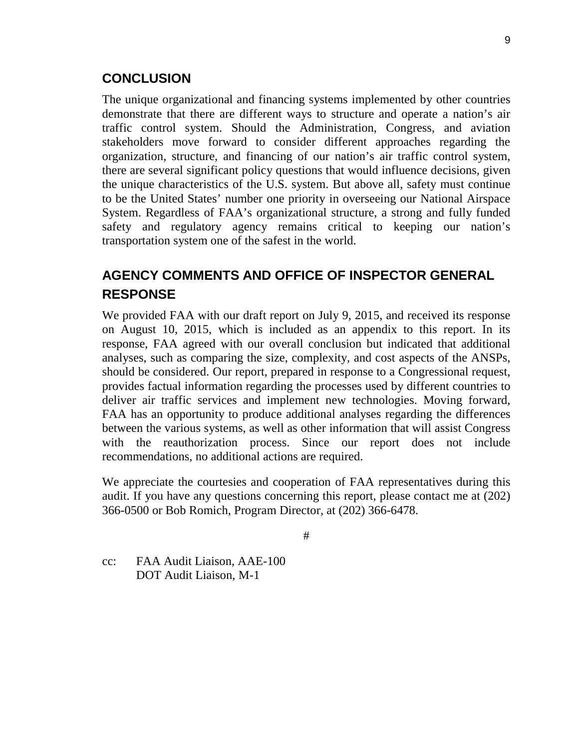#### **CONCLUSION**

The unique organizational and financing systems implemented by other countries demonstrate that there are different ways to structure and operate a nation's air traffic control system. Should the Administration, Congress, and aviation stakeholders move forward to consider different approaches regarding the organization, structure, and financing of our nation's air traffic control system, there are several significant policy questions that would influence decisions, given the unique characteristics of the U.S. system. But above all, safety must continue to be the United States' number one priority in overseeing our National Airspace System. Regardless of FAA's organizational structure, a strong and fully funded safety and regulatory agency remains critical to keeping our nation's transportation system one of the safest in the world.

# **AGENCY COMMENTS AND OFFICE OF INSPECTOR GENERAL RESPONSE**

We provided FAA with our draft report on July 9, 2015, and received its response on August 10, 2015, which is included as an appendix to this report. In its response, FAA agreed with our overall conclusion but indicated that additional analyses, such as comparing the size, complexity, and cost aspects of the ANSPs, should be considered. Our report, prepared in response to a Congressional request, provides factual information regarding the processes used by different countries to deliver air traffic services and implement new technologies. Moving forward, FAA has an opportunity to produce additional analyses regarding the differences between the various systems, as well as other information that will assist Congress with the reauthorization process. Since our report does not include recommendations, no additional actions are required.

We appreciate the courtesies and cooperation of FAA representatives during this audit. If you have any questions concerning this report, please contact me at (202) 366-0500 or Bob Romich, Program Director, at (202) 366-6478.

#

cc: FAA Audit Liaison, AAE-100 DOT Audit Liaison, M-1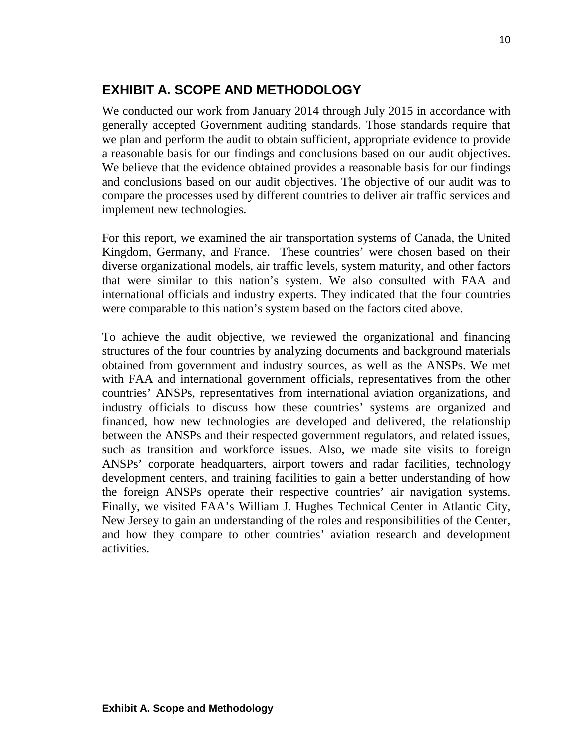# **EXHIBIT A. SCOPE AND METHODOLOGY**

We conducted our work from January 2014 through July 2015 in accordance with generally accepted Government auditing standards. Those standards require that we plan and perform the audit to obtain sufficient, appropriate evidence to provide a reasonable basis for our findings and conclusions based on our audit objectives. We believe that the evidence obtained provides a reasonable basis for our findings and conclusions based on our audit objectives. The objective of our audit was to compare the processes used by different countries to deliver air traffic services and implement new technologies.

For this report, we examined the air transportation systems of Canada, the United Kingdom, Germany, and France. These countries' were chosen based on their diverse organizational models, air traffic levels, system maturity, and other factors that were similar to this nation's system. We also consulted with FAA and international officials and industry experts. They indicated that the four countries were comparable to this nation's system based on the factors cited above.

To achieve the audit objective, we reviewed the organizational and financing structures of the four countries by analyzing documents and background materials obtained from government and industry sources, as well as the ANSPs. We met with FAA and international government officials, representatives from the other countries' ANSPs, representatives from international aviation organizations, and industry officials to discuss how these countries' systems are organized and financed, how new technologies are developed and delivered, the relationship between the ANSPs and their respected government regulators, and related issues, such as transition and workforce issues. Also, we made site visits to foreign ANSPs' corporate headquarters, airport towers and radar facilities, technology development centers, and training facilities to gain a better understanding of how the foreign ANSPs operate their respective countries' air navigation systems. Finally, we visited FAA's William J. Hughes Technical Center in Atlantic City, New Jersey to gain an understanding of the roles and responsibilities of the Center, and how they compare to other countries' aviation research and development activities.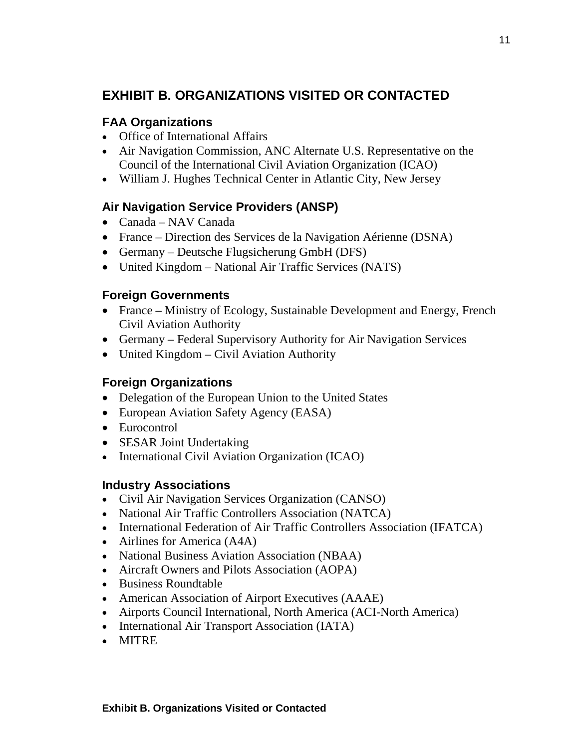# **EXHIBIT B. ORGANIZATIONS VISITED OR CONTACTED**

### **FAA Organizations**

- Office of International Affairs
- Air Navigation Commission, ANC Alternate U.S. Representative on the Council of the International Civil Aviation Organization (ICAO)
- William J. Hughes Technical Center in Atlantic City, New Jersey

# **Air Navigation Service Providers (ANSP)**

- Canada NAV Canada
- France Direction des Services de la Navigation Aérienne (DSNA)
- Germany Deutsche Flugsicherung GmbH (DFS)
- United Kingdom National Air Traffic Services (NATS)

### **Foreign Governments**

- France Ministry of Ecology, Sustainable Development and Energy, French Civil Aviation Authority
- Germany Federal Supervisory Authority for Air Navigation Services
- United Kingdom Civil Aviation Authority

### **Foreign Organizations**

- Delegation of the European Union to the United States
- European Aviation Safety Agency (EASA)
- Eurocontrol
- SESAR Joint Undertaking
- International Civil Aviation Organization (ICAO)

#### **Industry Associations**

- Civil Air Navigation Services Organization (CANSO)
- National Air Traffic Controllers Association (NATCA)
- International Federation of Air Traffic Controllers Association (IFATCA)
- Airlines for America (A4A)
- National Business Aviation Association (NBAA)
- Aircraft Owners and Pilots Association (AOPA)
- Business Roundtable
- American Association of Airport Executives (AAAE)
- Airports Council International, North America (ACI-North America)
- International Air Transport Association (IATA)
- MITRE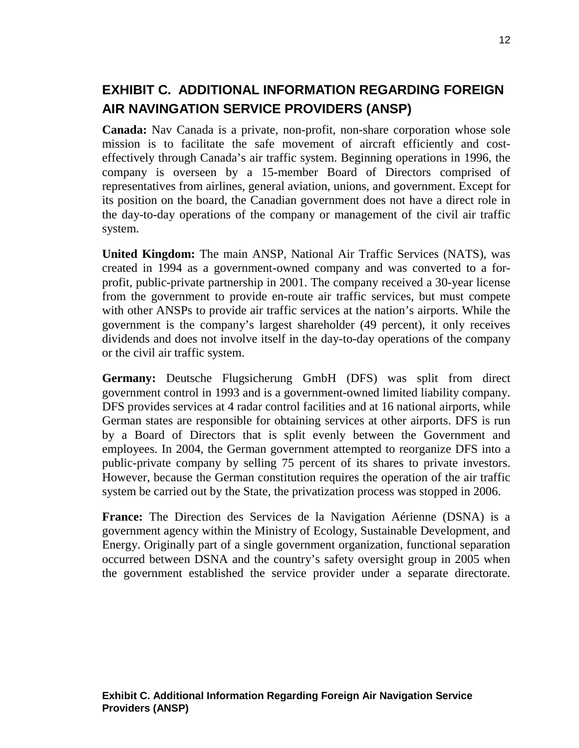# **EXHIBIT C. ADDITIONAL INFORMATION REGARDING FOREIGN AIR NAVINGATION SERVICE PROVIDERS (ANSP)**

**Canada:** Nav Canada is a private, non-profit, non-share corporation whose sole mission is to facilitate the safe movement of aircraft efficiently and costeffectively through Canada's air traffic system. Beginning operations in 1996, the company is overseen by a 15-member Board of Directors comprised of representatives from airlines, general aviation, unions, and government. Except for its position on the board, the Canadian government does not have a direct role in the day-to-day operations of the company or management of the civil air traffic system.

**United Kingdom:** The main ANSP, National Air Traffic Services (NATS), was created in 1994 as a government-owned company and was converted to a forprofit, public-private partnership in 2001. The company received a 30-year license from the government to provide en-route air traffic services, but must compete with other ANSPs to provide air traffic services at the nation's airports. While the government is the company's largest shareholder (49 percent), it only receives dividends and does not involve itself in the day-to-day operations of the company or the civil air traffic system.

**Germany:** Deutsche Flugsicherung GmbH (DFS) was split from direct government control in 1993 and is a government-owned limited liability company. DFS provides services at 4 radar control facilities and at 16 national airports, while German states are responsible for obtaining services at other airports. DFS is run by a Board of Directors that is split evenly between the Government and employees. In 2004, the German government attempted to reorganize DFS into a public-private company by selling 75 percent of its shares to private investors. However, because the German constitution requires the operation of the air traffic system be carried out by the State, the privatization process was stopped in 2006.

**France:** The Direction des Services de la Navigation Aérienne (DSNA) is a government agency within the Ministry of Ecology, Sustainable Development, and Energy. Originally part of a single government organization, functional separation occurred between DSNA and the country's safety oversight group in 2005 when the government established the service provider under a separate directorate.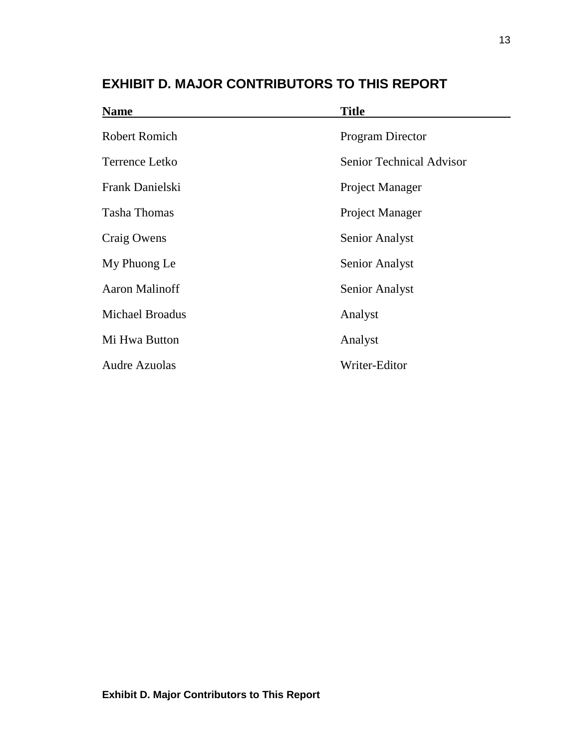| <b>Name</b>            | <b>Title</b>                    |
|------------------------|---------------------------------|
| <b>Robert Romich</b>   | <b>Program Director</b>         |
| Terrence Letko         | <b>Senior Technical Advisor</b> |
| Frank Danielski        | Project Manager                 |
| <b>Tasha Thomas</b>    | Project Manager                 |
| Craig Owens            | <b>Senior Analyst</b>           |
| My Phuong Le           | <b>Senior Analyst</b>           |
| <b>Aaron Malinoff</b>  | <b>Senior Analyst</b>           |
| <b>Michael Broadus</b> | Analyst                         |
| Mi Hwa Button          | Analyst                         |
| <b>Audre Azuolas</b>   | Writer-Editor                   |
|                        |                                 |

# **EXHIBIT D. MAJOR CONTRIBUTORS TO THIS REPORT**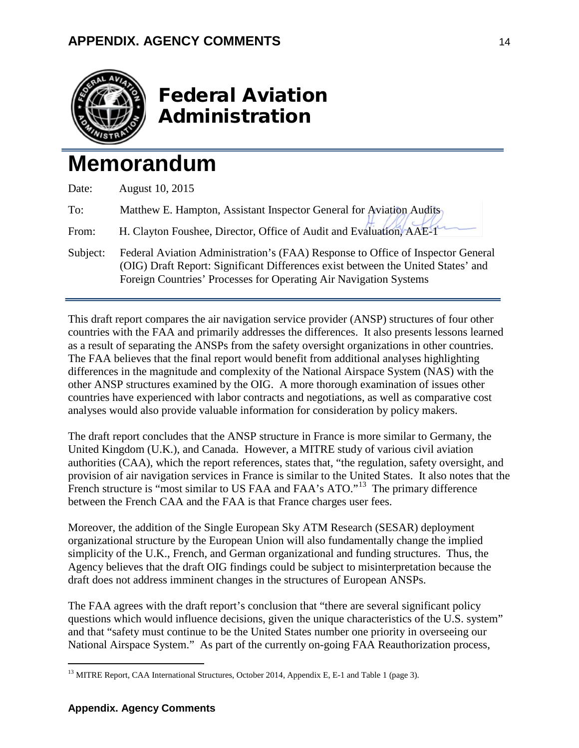

# Federal Aviation Administration

# **Memorandum**

| Date:    | August 10, 2015                                                                                                                                                                                                                          |
|----------|------------------------------------------------------------------------------------------------------------------------------------------------------------------------------------------------------------------------------------------|
| To:      | Matthew E. Hampton, Assistant Inspector General for Aviation Audits                                                                                                                                                                      |
| From:    | H. Clayton Foushee, Director, Office of Audit and Evaluation, AAE-1                                                                                                                                                                      |
| Subject: | Federal Aviation Administration's (FAA) Response to Office of Inspector General<br>(OIG) Draft Report: Significant Differences exist between the United States' and<br>Foreign Countries' Processes for Operating Air Navigation Systems |

This draft report compares the air navigation service provider (ANSP) structures of four other countries with the FAA and primarily addresses the differences. It also presents lessons learned as a result of separating the ANSPs from the safety oversight organizations in other countries. The FAA believes that the final report would benefit from additional analyses highlighting differences in the magnitude and complexity of the National Airspace System (NAS) with the other ANSP structures examined by the OIG. A more thorough examination of issues other countries have experienced with labor contracts and negotiations, as well as comparative cost analyses would also provide valuable information for consideration by policy makers.

The draft report concludes that the ANSP structure in France is more similar to Germany, the United Kingdom (U.K.), and Canada. However, a MITRE study of various civil aviation authorities (CAA), which the report references, states that, "the regulation, safety oversight, and provision of air navigation services in France is similar to the United States. It also notes that the French structure is "most similar to US FAA and FAA's ATO."<sup>13</sup> The primary difference between the French CAA and the FAA is that France charges user fees.

Moreover, the addition of the Single European Sky ATM Research (SESAR) deployment organizational structure by the European Union will also fundamentally change the implied simplicity of the U.K., French, and German organizational and funding structures. Thus, the Agency believes that the draft OIG findings could be subject to misinterpretation because the draft does not address imminent changes in the structures of European ANSPs.

The FAA agrees with the draft report's conclusion that "there are several significant policy questions which would influence decisions, given the unique characteristics of the U.S. system" and that "safety must continue to be the United States number one priority in overseeing our National Airspace System." As part of the currently on-going FAA Reauthorization process,

<span id="page-14-0"></span><sup>&</sup>lt;sup>13</sup> MITRE Report, CAA International Structures, October 2014, Appendix E, E-1 and Table 1 (page 3).